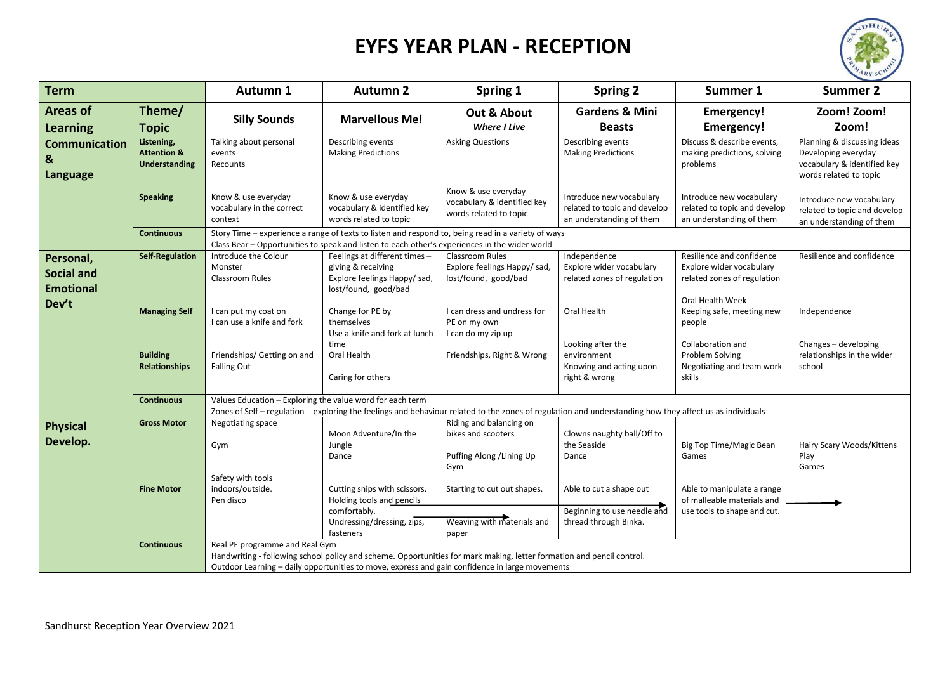## **EYFS YEAR PLAN - RECEPTION**



| <b>Term</b>                                        |                                                              | Autumn 1                                                                                                                                                                                                              | <b>Autumn 2</b>                                                                                                      | Spring 1                                                                                                                                                                                                                | <b>Spring 2</b>                                                                      | Summer 1                                                                                | <b>Summer 2</b>                                                                                             |  |
|----------------------------------------------------|--------------------------------------------------------------|-----------------------------------------------------------------------------------------------------------------------------------------------------------------------------------------------------------------------|----------------------------------------------------------------------------------------------------------------------|-------------------------------------------------------------------------------------------------------------------------------------------------------------------------------------------------------------------------|--------------------------------------------------------------------------------------|-----------------------------------------------------------------------------------------|-------------------------------------------------------------------------------------------------------------|--|
| <b>Areas of</b><br><b>Learning</b>                 | Theme/<br><b>Topic</b>                                       | <b>Silly Sounds</b>                                                                                                                                                                                                   | <b>Marvellous Me!</b>                                                                                                | Out & About<br><b>Where I Live</b>                                                                                                                                                                                      | <b>Gardens &amp; Mini</b><br><b>Beasts</b>                                           | <b>Emergency!</b><br><b>Emergency!</b>                                                  | Zoom! Zoom!<br>Zoom!                                                                                        |  |
| <b>Communication</b><br>&<br><b>Language</b>       | Listening,<br><b>Attention &amp;</b><br><b>Understanding</b> | Talking about personal<br>events<br>Recounts                                                                                                                                                                          | Describing events<br><b>Making Predictions</b>                                                                       | <b>Asking Questions</b>                                                                                                                                                                                                 | Describing events<br><b>Making Predictions</b>                                       | Discuss & describe events,<br>making predictions, solving<br>problems                   | Planning & discussing ideas<br>Developing everyday<br>vocabulary & identified key<br>words related to topic |  |
|                                                    | <b>Speaking</b>                                              | Know & use everyday<br>vocabulary in the correct<br>context                                                                                                                                                           | Know & use everyday<br>vocabulary & identified key<br>words related to topic                                         | Know & use everyday<br>vocabulary & identified key<br>words related to topic                                                                                                                                            | Introduce new vocabulary<br>related to topic and develop<br>an understanding of them | Introduce new vocabulary<br>related to topic and develop<br>an understanding of them    | Introduce new vocabulary<br>related to topic and develop<br>an understanding of them                        |  |
|                                                    | <b>Continuous</b>                                            | Story Time - experience a range of texts to listen and respond to, being read in a variety of ways<br>Class Bear - Opportunities to speak and listen to each other's experiences in the wider world                   |                                                                                                                      |                                                                                                                                                                                                                         |                                                                                      |                                                                                         |                                                                                                             |  |
| Personal,<br><b>Social and</b><br><b>Emotional</b> | <b>Self-Regulation</b>                                       | Introduce the Colour<br>Monster<br>Classroom Rules                                                                                                                                                                    | Feelings at different times -<br>giving & receiving<br>Explore feelings Happy/sad,<br>lost/found, good/bad           | Classroom Rules<br>Explore feelings Happy/ sad,<br>lost/found, good/bad                                                                                                                                                 | Independence<br>Explore wider vocabulary<br>related zones of regulation              | Resilience and confidence<br>Explore wider vocabulary<br>related zones of regulation    | Resilience and confidence                                                                                   |  |
| Dev't                                              | <b>Managing Self</b>                                         | I can put my coat on<br>I can use a knife and fork                                                                                                                                                                    | Change for PE by<br>themselves<br>Use a knife and fork at lunch<br>time                                              | I can dress and undress for<br>PE on my own<br>I can do my zip up                                                                                                                                                       | Oral Health<br>Looking after the                                                     | Oral Health Week<br>Keeping safe, meeting new<br>people<br>Collaboration and            | Independence<br>Changes - developing                                                                        |  |
|                                                    | <b>Building</b><br><b>Relationships</b>                      | Friendships/ Getting on and<br><b>Falling Out</b>                                                                                                                                                                     | Oral Health<br>Caring for others                                                                                     | Friendships, Right & Wrong                                                                                                                                                                                              | environment<br>Knowing and acting upon<br>right & wrong                              | Problem Solving<br>Negotiating and team work<br>skills                                  | relationships in the wider<br>school                                                                        |  |
|                                                    | <b>Continuous</b>                                            | Values Education - Exploring the value word for each term<br>Zones of Self - regulation - exploring the feelings and behaviour related to the zones of regulation and understanding how they affect us as individuals |                                                                                                                      |                                                                                                                                                                                                                         |                                                                                      |                                                                                         |                                                                                                             |  |
| <b>Physical</b><br>Develop.                        | <b>Gross Motor</b>                                           | Negotiating space<br>Gym                                                                                                                                                                                              | Moon Adventure/In the<br>Jungle<br>Dance                                                                             | Riding and balancing on<br>bikes and scooters<br>Puffing Along / Lining Up<br>Gym                                                                                                                                       | Clowns naughty ball/Off to<br>the Seaside<br>Dance                                   | Big Top Time/Magic Bean<br>Games                                                        | Hairy Scary Woods/Kittens<br>Play<br>Games                                                                  |  |
|                                                    | <b>Fine Motor</b>                                            | Safety with tools<br>indoors/outside.<br>Pen disco                                                                                                                                                                    | Cutting snips with scissors.<br>Holding tools and pencils<br>comfortably.<br>Undressing/dressing, zips,<br>fasteners | Starting to cut out shapes.<br>Weaving with materials and<br>paper                                                                                                                                                      | Able to cut a shape out<br>Beginning to use needle and<br>thread through Binka.      | Able to manipulate a range<br>of malleable materials and<br>use tools to shape and cut. |                                                                                                             |  |
|                                                    | <b>Continuous</b>                                            | Real PE programme and Real Gym                                                                                                                                                                                        |                                                                                                                      | Handwriting - following school policy and scheme. Opportunities for mark making, letter formation and pencil control.<br>Outdoor Learning - daily opportunities to move, express and gain confidence in large movements |                                                                                      |                                                                                         |                                                                                                             |  |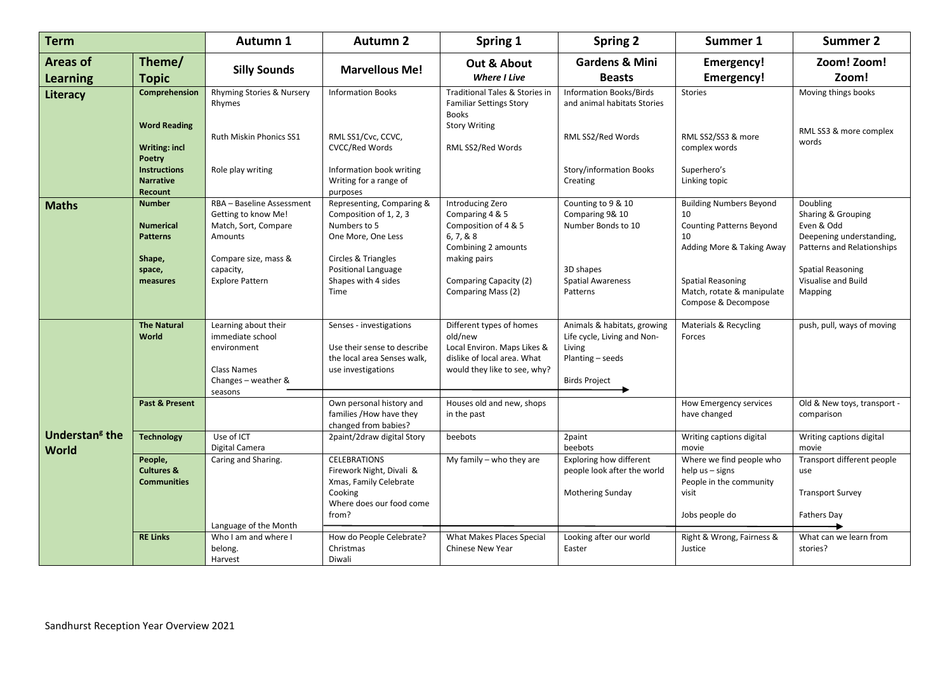| <b>Term</b>                               |                                                                                                                   | Autumn 1                                                                                                                                           | <b>Autumn 2</b>                                                                                                                                                                    | Spring 1                                                                                                                                                         | <b>Spring 2</b>                                                                                                           | Summer 1                                                                                                                                                                                    | <b>Summer 2</b>                                                                                                                                               |
|-------------------------------------------|-------------------------------------------------------------------------------------------------------------------|----------------------------------------------------------------------------------------------------------------------------------------------------|------------------------------------------------------------------------------------------------------------------------------------------------------------------------------------|------------------------------------------------------------------------------------------------------------------------------------------------------------------|---------------------------------------------------------------------------------------------------------------------------|---------------------------------------------------------------------------------------------------------------------------------------------------------------------------------------------|---------------------------------------------------------------------------------------------------------------------------------------------------------------|
| <b>Areas of</b>                           | Theme/                                                                                                            |                                                                                                                                                    | <b>Marvellous Me!</b>                                                                                                                                                              | Out & About                                                                                                                                                      | <b>Gardens &amp; Mini</b>                                                                                                 | <b>Emergency!</b>                                                                                                                                                                           | Zoom! Zoom!                                                                                                                                                   |
| <b>Learning</b>                           | <b>Topic</b>                                                                                                      | <b>Silly Sounds</b>                                                                                                                                |                                                                                                                                                                                    | <b>Where I Live</b>                                                                                                                                              | <b>Beasts</b>                                                                                                             | <b>Emergency!</b>                                                                                                                                                                           | Zoom!                                                                                                                                                         |
| Literacy                                  | Comprehension<br><b>Word Reading</b><br><b>Writing: incl</b><br>Poetry<br><b>Instructions</b><br><b>Narrative</b> | Rhyming Stories & Nursery<br>Rhymes<br><b>Ruth Miskin Phonics SS1</b><br>Role play writing                                                         | <b>Information Books</b><br>RML SS1/Cvc, CCVC,<br><b>CVCC/Red Words</b><br>Information book writing<br>Writing for a range of                                                      | Traditional Tales & Stories in<br><b>Familiar Settings Story</b><br><b>Books</b><br><b>Story Writing</b><br>RML SS2/Red Words                                    | <b>Information Books/Birds</b><br>and animal habitats Stories<br>RML SS2/Red Words<br>Story/information Books<br>Creating | <b>Stories</b><br>RML SS2/SS3 & more<br>complex words<br>Superhero's<br>Linking topic                                                                                                       | Moving things books<br>RML SS3 & more complex<br>words                                                                                                        |
| <b>Maths</b>                              | Recount<br><b>Number</b><br><b>Numerical</b><br><b>Patterns</b><br>Shape,<br>space,<br>measures                   | RBA - Baseline Assessment<br>Getting to know Me!<br>Match, Sort, Compare<br>Amounts<br>Compare size, mass &<br>capacity,<br><b>Explore Pattern</b> | purposes<br>Representing, Comparing &<br>Composition of 1, 2, 3<br>Numbers to 5<br>One More, One Less<br>Circles & Triangles<br>Positional Language<br>Shapes with 4 sides<br>Time | Introducing Zero<br>Comparing 4 & 5<br>Composition of 4 & 5<br>6, 7, 8, 8<br>Combining 2 amounts<br>making pairs<br>Comparing Capacity (2)<br>Comparing Mass (2) | Counting to 9 & 10<br>Comparing 9& 10<br>Number Bonds to 10<br>3D shapes<br><b>Spatial Awareness</b><br>Patterns          | <b>Building Numbers Beyond</b><br>10<br><b>Counting Patterns Beyond</b><br>10<br>Adding More & Taking Away<br><b>Spatial Reasoning</b><br>Match, rotate & manipulate<br>Compose & Decompose | Doubling<br>Sharing & Grouping<br>Even & Odd<br>Deepening understanding,<br>Patterns and Relationships<br>Spatial Reasoning<br>Visualise and Build<br>Mapping |
|                                           | <b>The Natural</b><br>World                                                                                       | Learning about their<br>immediate school<br>environment<br><b>Class Names</b><br>Changes - weather &<br>seasons                                    | Senses - investigations<br>Use their sense to describe<br>the local area Senses walk,<br>use investigations                                                                        | Different types of homes<br>old/new<br>Local Environ. Maps Likes &<br>dislike of local area. What<br>would they like to see, why?                                | Animals & habitats, growing<br>Life cycle, Living and Non-<br>Living<br>Planting - seeds<br><b>Birds Project</b>          | Materials & Recycling<br>Forces                                                                                                                                                             | push, pull, ways of moving                                                                                                                                    |
| <b>Understan<sup>g</sup></b> the<br>World | Past & Present                                                                                                    |                                                                                                                                                    | Own personal history and<br>families / How have they<br>changed from babies?                                                                                                       | Houses old and new, shops<br>in the past                                                                                                                         |                                                                                                                           | How Emergency services<br>have changed                                                                                                                                                      | Old & New toys, transport -<br>comparison                                                                                                                     |
|                                           | <b>Technology</b>                                                                                                 | Use of ICT<br>Digital Camera                                                                                                                       | 2 paint/2 draw digital Story                                                                                                                                                       | beebots                                                                                                                                                          | 2paint<br>beebots                                                                                                         | Writing captions digital<br>movie                                                                                                                                                           | Writing captions digital<br>movie                                                                                                                             |
|                                           | People,<br><b>Cultures &amp;</b><br><b>Communities</b>                                                            | Caring and Sharing.<br>Language of the Month                                                                                                       | <b>CELEBRATIONS</b><br>Firework Night, Divali &<br>Xmas, Family Celebrate<br>Cooking<br>Where does our food come<br>from?                                                          | My family $-$ who they are                                                                                                                                       | Exploring how different<br>people look after the world<br>Mothering Sunday                                                | Where we find people who<br>help $us - signs$<br>People in the community<br>visit<br>Jobs people do                                                                                         | Transport different people<br>use<br><b>Transport Survey</b><br><b>Fathers Day</b>                                                                            |
|                                           | <b>RE Links</b>                                                                                                   | Who I am and where I<br>belong.<br>Harvest                                                                                                         | How do People Celebrate?<br>Christmas<br>Diwali                                                                                                                                    | What Makes Places Special<br>Chinese New Year                                                                                                                    | Looking after our world<br>Easter                                                                                         | Right & Wrong, Fairness &<br>Justice                                                                                                                                                        | What can we learn from<br>stories?                                                                                                                            |